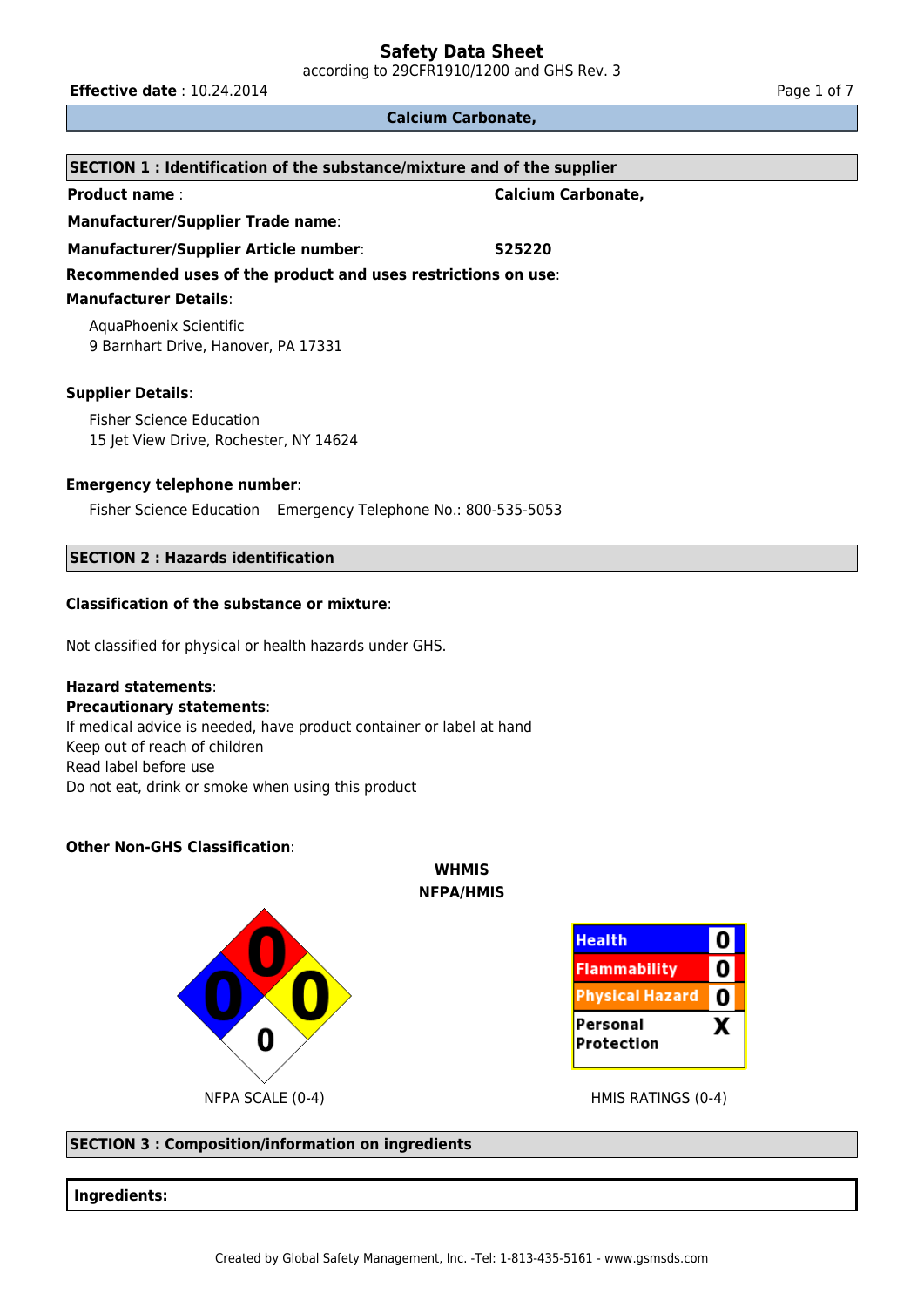according to 29CFR1910/1200 and GHS Rev. 3

**Effective date** : 10.24.2014 **Page 1 of 7 Page 1 of 7** 

### **Calcium Carbonate,**

| SECTION 1 : Identification of the substance/mixture and of the supplier   |                           |  |  |
|---------------------------------------------------------------------------|---------------------------|--|--|
| <b>Product name:</b>                                                      | <b>Calcium Carbonate,</b> |  |  |
| <b>Manufacturer/Supplier Trade name:</b>                                  |                           |  |  |
| <b>Manufacturer/Supplier Article number:</b>                              | S25220                    |  |  |
| Recommended uses of the product and uses restrictions on use:             |                           |  |  |
| <b>Manufacturer Details:</b>                                              |                           |  |  |
| AquaPhoenix Scientific<br>9 Barnhart Drive, Hanover, PA 17331             |                           |  |  |
| <b>Supplier Details:</b>                                                  |                           |  |  |
| <b>Fisher Science Education</b><br>15 Jet View Drive, Rochester, NY 14624 |                           |  |  |
| <b>Emergency telephone number:</b>                                        |                           |  |  |
| Fisher Science Education Emergency Telephone No.: 800-535-5053            |                           |  |  |

# **SECTION 2 : Hazards identification**

# **Classification of the substance or mixture**:

Not classified for physical or health hazards under GHS.

# **Hazard statements**:

### **Precautionary statements**:

If medical advice is needed, have product container or label at hand Keep out of reach of children Read label before use Do not eat, drink or smoke when using this product

# **Other Non-GHS Classification**:



# **SECTION 3 : Composition/information on ingredients**

# **Ingredients:**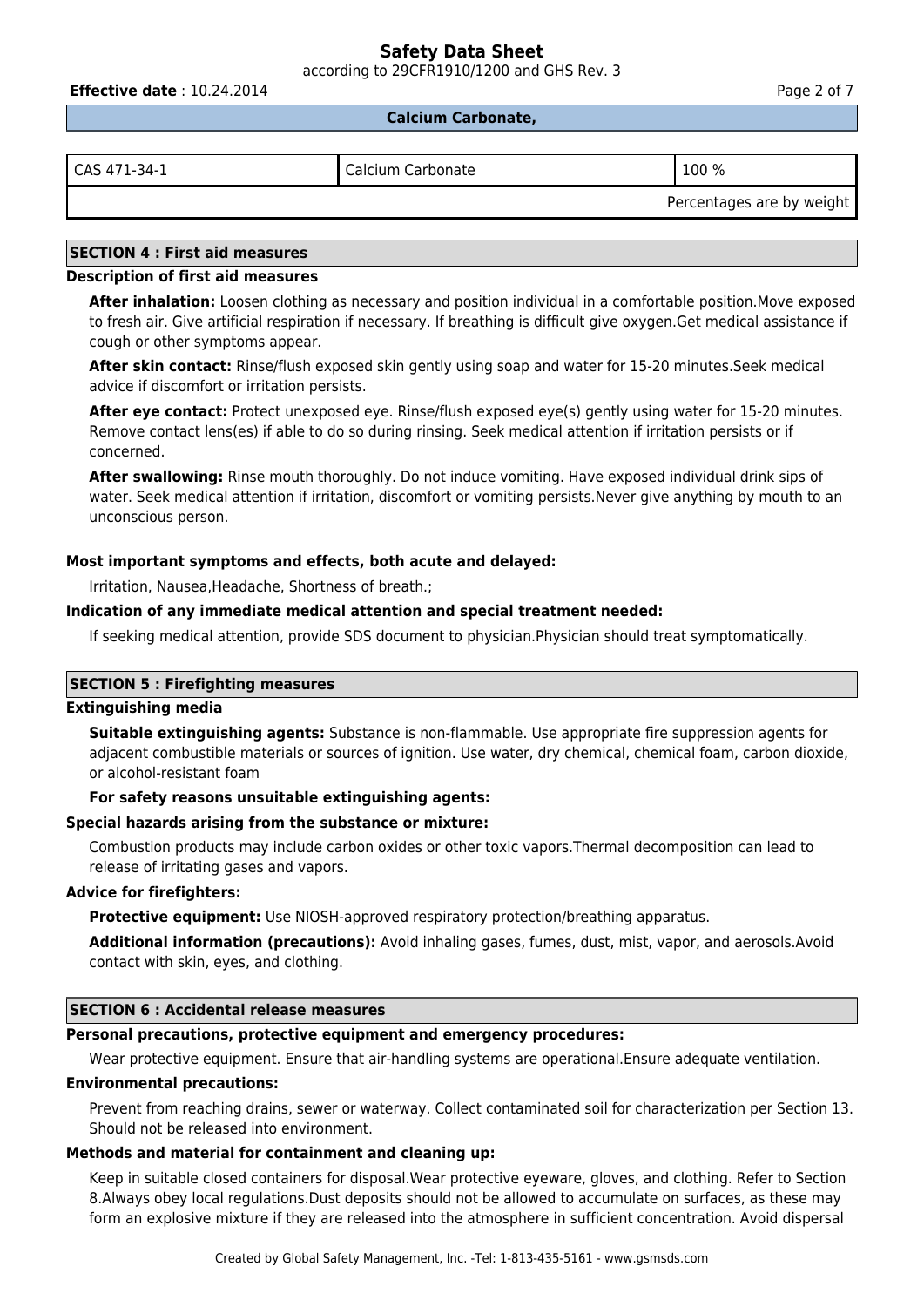according to 29CFR1910/1200 and GHS Rev. 3

**Effective date** : 10.24.2014 **Page 2 of 7 Page 2 of 7** 

### **Calcium Carbonate,**

| CAS 471-34-1 | Calcium (<br>Carbonate | 100 % |
|--------------|------------------------|-------|

Percentages are by weight

### **SECTION 4 : First aid measures**

### **Description of first aid measures**

**After inhalation:** Loosen clothing as necessary and position individual in a comfortable position.Move exposed to fresh air. Give artificial respiration if necessary. If breathing is difficult give oxygen.Get medical assistance if cough or other symptoms appear.

**After skin contact:** Rinse/flush exposed skin gently using soap and water for 15-20 minutes.Seek medical advice if discomfort or irritation persists.

**After eye contact:** Protect unexposed eye. Rinse/flush exposed eye(s) gently using water for 15-20 minutes. Remove contact lens(es) if able to do so during rinsing. Seek medical attention if irritation persists or if concerned.

**After swallowing:** Rinse mouth thoroughly. Do not induce vomiting. Have exposed individual drink sips of water. Seek medical attention if irritation, discomfort or vomiting persists.Never give anything by mouth to an unconscious person.

### **Most important symptoms and effects, both acute and delayed:**

Irritation, Nausea,Headache, Shortness of breath.;

### **Indication of any immediate medical attention and special treatment needed:**

If seeking medical attention, provide SDS document to physician.Physician should treat symptomatically.

### **SECTION 5 : Firefighting measures**

### **Extinguishing media**

**Suitable extinguishing agents:** Substance is non-flammable. Use appropriate fire suppression agents for adjacent combustible materials or sources of ignition. Use water, dry chemical, chemical foam, carbon dioxide, or alcohol-resistant foam

# **For safety reasons unsuitable extinguishing agents:**

# **Special hazards arising from the substance or mixture:**

Combustion products may include carbon oxides or other toxic vapors.Thermal decomposition can lead to release of irritating gases and vapors.

### **Advice for firefighters:**

**Protective equipment:** Use NIOSH-approved respiratory protection/breathing apparatus.

**Additional information (precautions):** Avoid inhaling gases, fumes, dust, mist, vapor, and aerosols.Avoid contact with skin, eyes, and clothing.

### **SECTION 6 : Accidental release measures**

## **Personal precautions, protective equipment and emergency procedures:**

Wear protective equipment. Ensure that air-handling systems are operational.Ensure adequate ventilation.

### **Environmental precautions:**

Prevent from reaching drains, sewer or waterway. Collect contaminated soil for characterization per Section 13. Should not be released into environment.

### **Methods and material for containment and cleaning up:**

Keep in suitable closed containers for disposal.Wear protective eyeware, gloves, and clothing. Refer to Section 8.Always obey local regulations.Dust deposits should not be allowed to accumulate on surfaces, as these may form an explosive mixture if they are released into the atmosphere in sufficient concentration. Avoid dispersal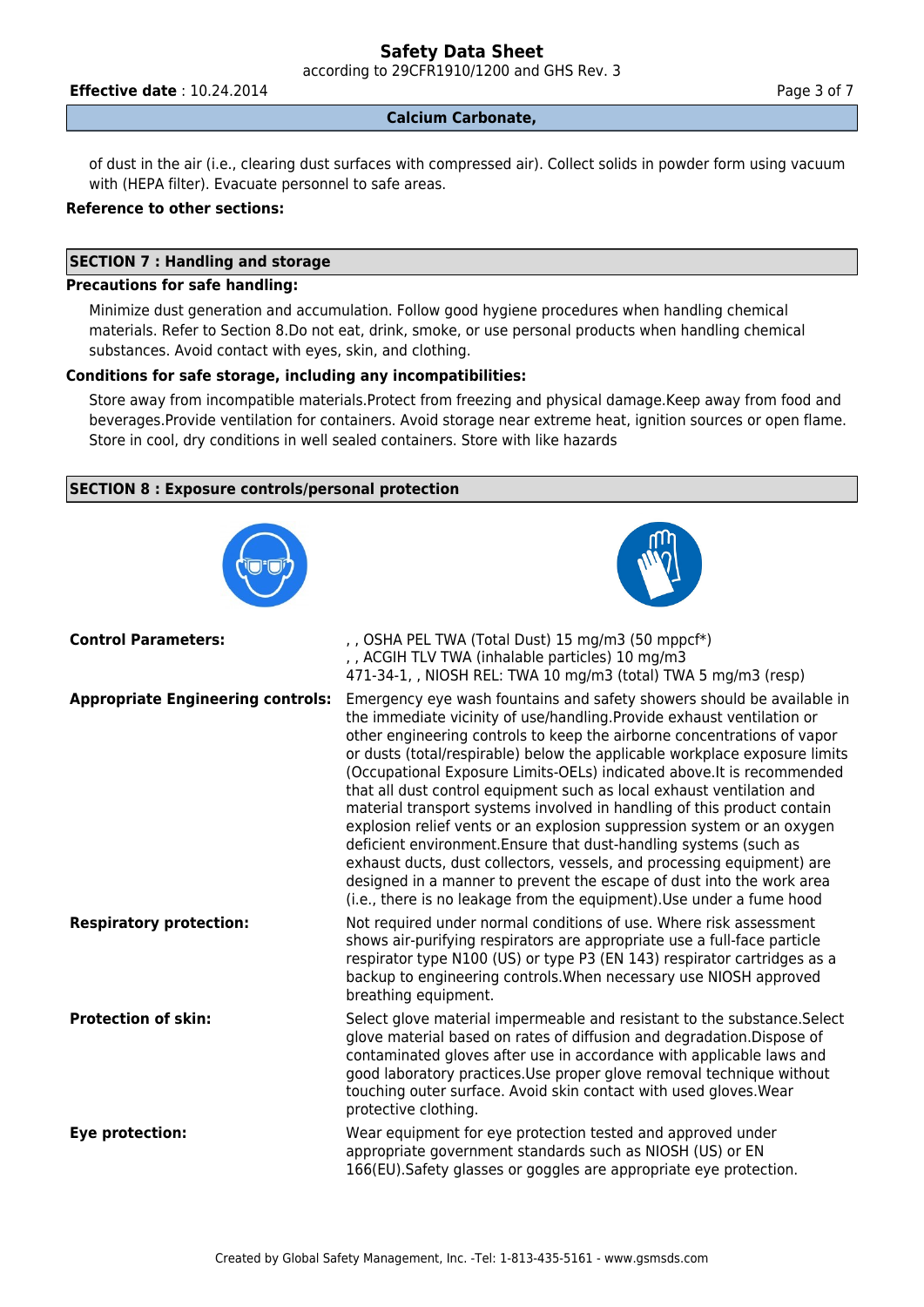according to 29CFR1910/1200 and GHS Rev. 3

**Effective date** : 10.24.2014 **Page 3 of 7 Page 3 of 7** 

**Calcium Carbonate,**

of dust in the air (i.e., clearing dust surfaces with compressed air). Collect solids in powder form using vacuum with (HEPA filter). Evacuate personnel to safe areas.

### **Reference to other sections:**

# **SECTION 7 : Handling and storage**

# **Precautions for safe handling:**

Minimize dust generation and accumulation. Follow good hygiene procedures when handling chemical materials. Refer to Section 8.Do not eat, drink, smoke, or use personal products when handling chemical substances. Avoid contact with eyes, skin, and clothing.

### **Conditions for safe storage, including any incompatibilities:**

Store away from incompatible materials.Protect from freezing and physical damage.Keep away from food and beverages.Provide ventilation for containers. Avoid storage near extreme heat, ignition sources or open flame. Store in cool, dry conditions in well sealed containers. Store with like hazards

# **SECTION 8 : Exposure controls/personal protection**





| <b>Control Parameters:</b>               | , , OSHA PEL TWA (Total Dust) 15 mg/m3 (50 mppcf*)<br>, , ACGIH TLV TWA (inhalable particles) 10 mg/m3<br>471-34-1, , NIOSH REL: TWA 10 mg/m3 (total) TWA 5 mg/m3 (resp)                                                                                                                                                                                                                                                                                                                                                                                                                                                                                                                                                                                                                                                                                                                                           |
|------------------------------------------|--------------------------------------------------------------------------------------------------------------------------------------------------------------------------------------------------------------------------------------------------------------------------------------------------------------------------------------------------------------------------------------------------------------------------------------------------------------------------------------------------------------------------------------------------------------------------------------------------------------------------------------------------------------------------------------------------------------------------------------------------------------------------------------------------------------------------------------------------------------------------------------------------------------------|
| <b>Appropriate Engineering controls:</b> | Emergency eye wash fountains and safety showers should be available in<br>the immediate vicinity of use/handling. Provide exhaust ventilation or<br>other engineering controls to keep the airborne concentrations of vapor<br>or dusts (total/respirable) below the applicable workplace exposure limits<br>(Occupational Exposure Limits-OELs) indicated above. It is recommended<br>that all dust control equipment such as local exhaust ventilation and<br>material transport systems involved in handling of this product contain<br>explosion relief vents or an explosion suppression system or an oxygen<br>deficient environment. Ensure that dust-handling systems (such as<br>exhaust ducts, dust collectors, vessels, and processing equipment) are<br>designed in a manner to prevent the escape of dust into the work area<br>(i.e., there is no leakage from the equipment). Use under a fume hood |
| <b>Respiratory protection:</b>           | Not required under normal conditions of use. Where risk assessment<br>shows air-purifying respirators are appropriate use a full-face particle<br>respirator type N100 (US) or type P3 (EN 143) respirator cartridges as a<br>backup to engineering controls. When necessary use NIOSH approved<br>breathing equipment.                                                                                                                                                                                                                                                                                                                                                                                                                                                                                                                                                                                            |
| <b>Protection of skin:</b>               | Select glove material impermeable and resistant to the substance. Select<br>glove material based on rates of diffusion and degradation. Dispose of<br>contaminated gloves after use in accordance with applicable laws and<br>good laboratory practices. Use proper glove removal technique without<br>touching outer surface. Avoid skin contact with used gloves. Wear<br>protective clothing.                                                                                                                                                                                                                                                                                                                                                                                                                                                                                                                   |
| Eye protection:                          | Wear equipment for eye protection tested and approved under<br>appropriate government standards such as NIOSH (US) or EN<br>166(EU). Safety glasses or goggles are appropriate eye protection.                                                                                                                                                                                                                                                                                                                                                                                                                                                                                                                                                                                                                                                                                                                     |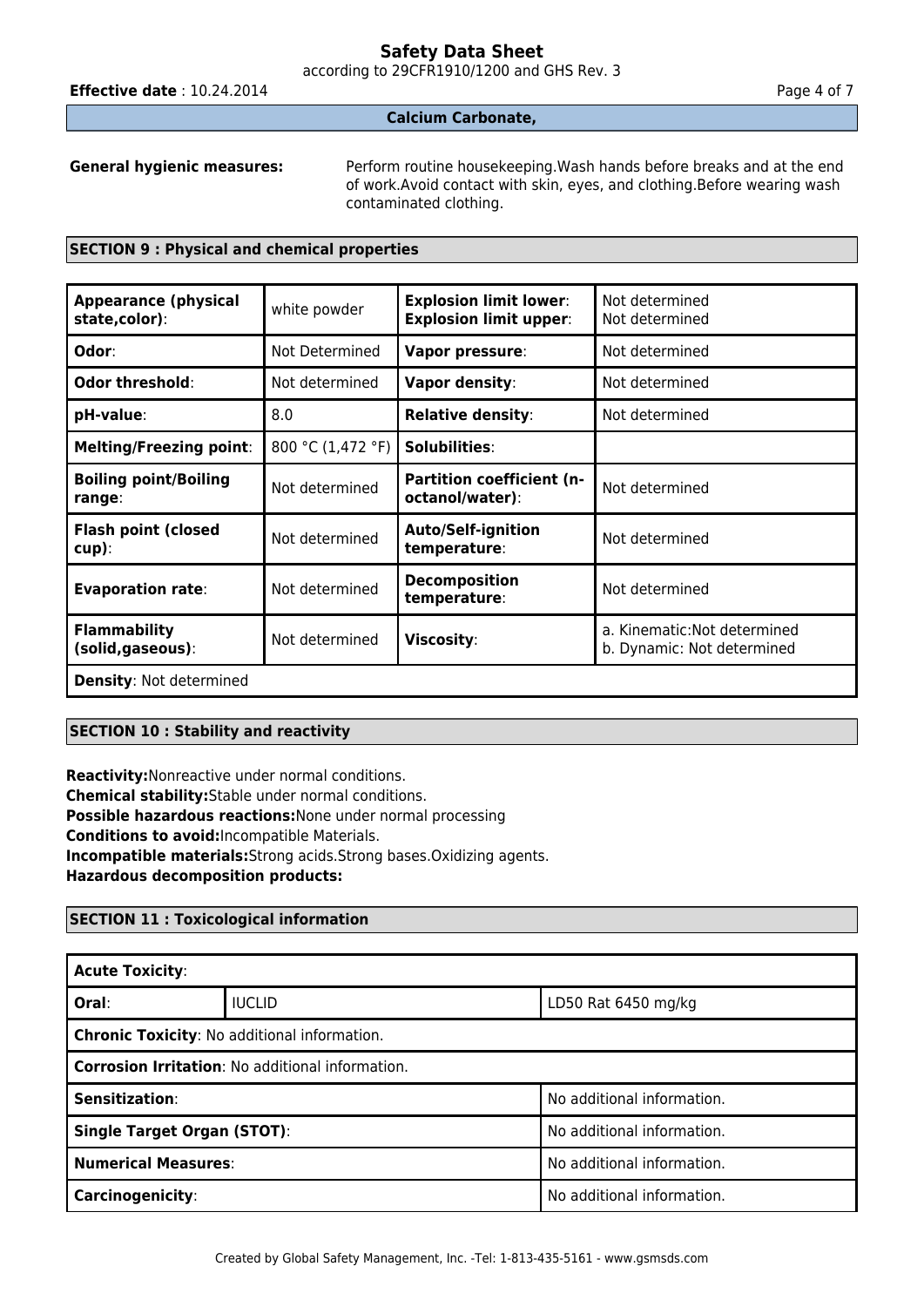according to 29CFR1910/1200 and GHS Rev. 3

**Effective date** : 10.24.2014 **Page 4 of 7 Page 4 of 7** 

### **Calcium Carbonate,**

**General hygienic measures:** Perform routine housekeeping.Wash hands before breaks and at the end of work.Avoid contact with skin, eyes, and clothing.Before wearing wash contaminated clothing.

### **SECTION 9 : Physical and chemical properties**

| <b>Appearance (physical</b><br>state,color): | white powder      | <b>Explosion limit lower:</b><br><b>Explosion limit upper:</b> | Not determined<br>Not determined                           |
|----------------------------------------------|-------------------|----------------------------------------------------------------|------------------------------------------------------------|
| Odor:                                        | Not Determined    | Vapor pressure:                                                | Not determined                                             |
| Odor threshold:                              | Not determined    | Vapor density:                                                 | Not determined                                             |
| pH-value:                                    | 8.0               | <b>Relative density:</b>                                       | Not determined                                             |
| <b>Melting/Freezing point:</b>               | 800 °C (1,472 °F) | Solubilities:                                                  |                                                            |
| <b>Boiling point/Boiling</b><br>range:       | Not determined    | <b>Partition coefficient (n-</b><br>octanol/water):            | Not determined                                             |
| <b>Flash point (closed</b><br>cup):          | Not determined    | <b>Auto/Self-ignition</b><br>temperature:                      | Not determined                                             |
| <b>Evaporation rate:</b>                     | Not determined    | <b>Decomposition</b><br>temperature:                           | Not determined                                             |
| <b>Flammability</b><br>(solid, gaseous):     | Not determined    | Viscosity:                                                     | a. Kinematic: Not determined<br>b. Dynamic: Not determined |
| <b>Density: Not determined</b>               |                   |                                                                |                                                            |

# **SECTION 10 : Stability and reactivity**

**Reactivity:**Nonreactive under normal conditions. **Chemical stability:**Stable under normal conditions. **Possible hazardous reactions:**None under normal processing **Conditions to avoid:**Incompatible Materials. **Incompatible materials:**Strong acids.Strong bases.Oxidizing agents. **Hazardous decomposition products:**

# **SECTION 11 : Toxicological information**

| <b>Acute Toxicity:</b>                                  |                                      |                            |  |
|---------------------------------------------------------|--------------------------------------|----------------------------|--|
| Oral:                                                   | <b>IUCLID</b><br>LD50 Rat 6450 mg/kg |                            |  |
| <b>Chronic Toxicity: No additional information.</b>     |                                      |                            |  |
| <b>Corrosion Irritation: No additional information.</b> |                                      |                            |  |
| Sensitization:                                          |                                      | No additional information. |  |
| <b>Single Target Organ (STOT):</b>                      |                                      | No additional information. |  |
| <b>Numerical Measures:</b>                              |                                      | No additional information. |  |
| Carcinogenicity:                                        |                                      | No additional information. |  |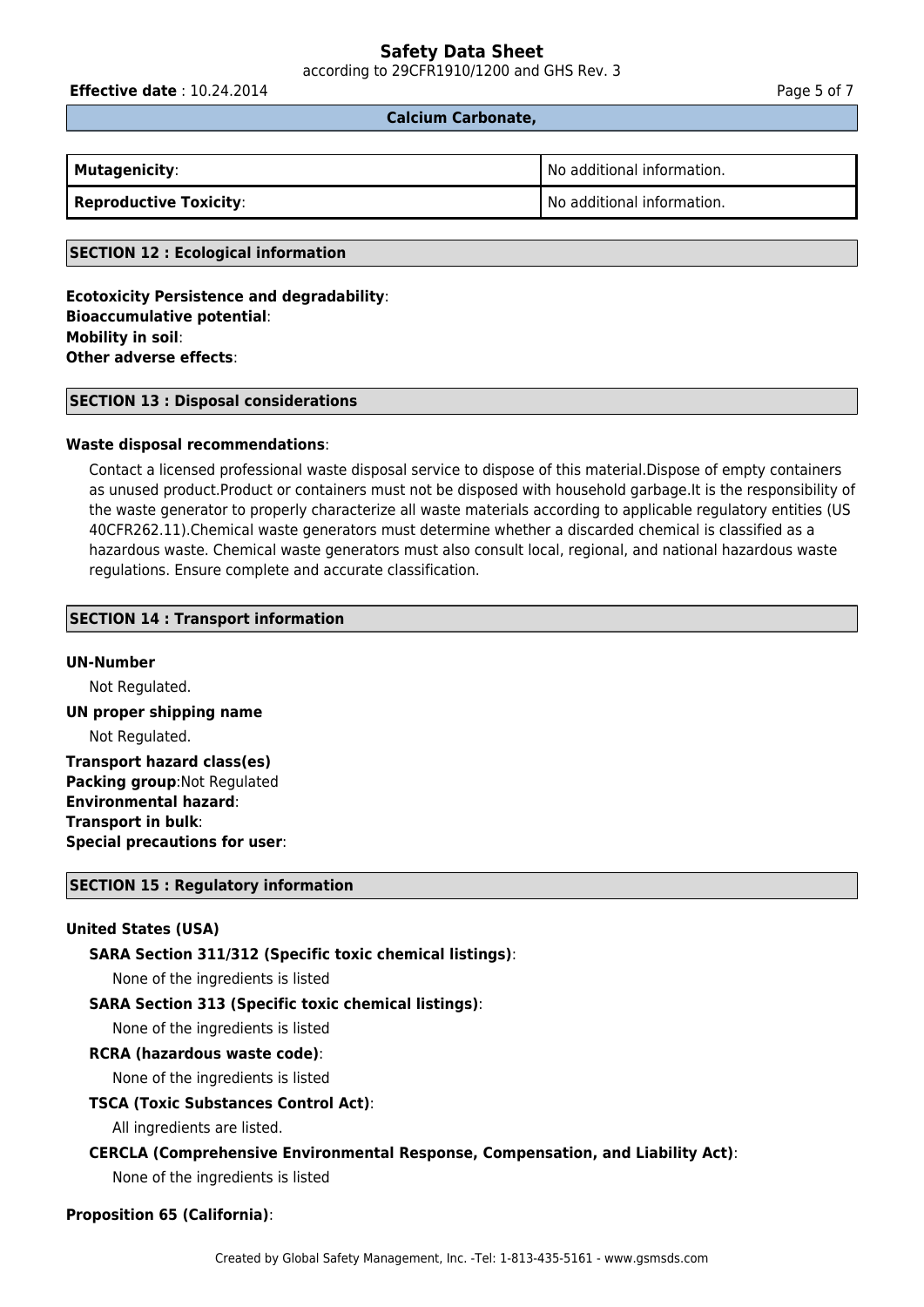according to 29CFR1910/1200 and GHS Rev. 3

**Effective date** : 10.24.2014 **Page 5 of 7 Page 5 of 7** 

### **Calcium Carbonate,**

| Mutagenicity:          | No additional information. |
|------------------------|----------------------------|
| Reproductive Toxicity: | No additional information. |

### **SECTION 12 : Ecological information**

**Ecotoxicity Persistence and degradability**: **Bioaccumulative potential**: **Mobility in soil**: **Other adverse effects**:

### **SECTION 13 : Disposal considerations**

### **Waste disposal recommendations**:

Contact a licensed professional waste disposal service to dispose of this material.Dispose of empty containers as unused product.Product or containers must not be disposed with household garbage.It is the responsibility of the waste generator to properly characterize all waste materials according to applicable regulatory entities (US 40CFR262.11).Chemical waste generators must determine whether a discarded chemical is classified as a hazardous waste. Chemical waste generators must also consult local, regional, and national hazardous waste regulations. Ensure complete and accurate classification.

### **SECTION 14 : Transport information**

## **UN-Number**

Not Regulated.

### **UN proper shipping name**

Not Regulated.

**Transport hazard class(es) Packing group**:Not Regulated **Environmental hazard**: **Transport in bulk**: **Special precautions for user**:

### **SECTION 15 : Regulatory information**

### **United States (USA)**

### **SARA Section 311/312 (Specific toxic chemical listings)**:

None of the ingredients is listed

### **SARA Section 313 (Specific toxic chemical listings)**:

None of the ingredients is listed

### **RCRA (hazardous waste code)**:

None of the ingredients is listed

### **TSCA (Toxic Substances Control Act)**:

All ingredients are listed.

### **CERCLA (Comprehensive Environmental Response, Compensation, and Liability Act)**:

None of the ingredients is listed

### **Proposition 65 (California)**: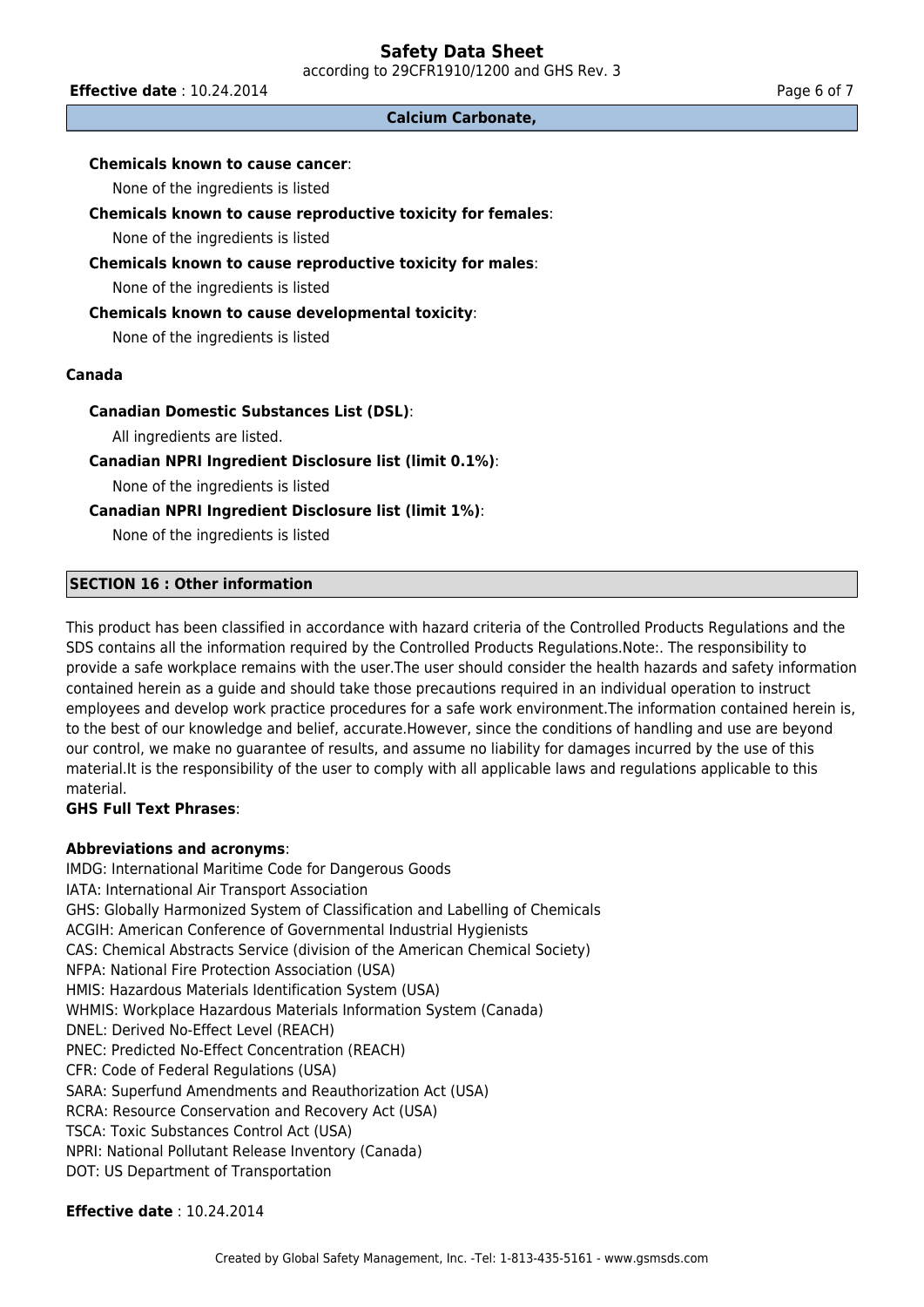according to 29CFR1910/1200 and GHS Rev. 3

**Effective date** : 10.24.2014 **Page 6 of 7 Page 6 of 7** 

### **Calcium Carbonate,**

# **Chemicals known to cause cancer**:

None of the ingredients is listed

# **Chemicals known to cause reproductive toxicity for females**:

None of the ingredients is listed

# **Chemicals known to cause reproductive toxicity for males**:

None of the ingredients is listed

# **Chemicals known to cause developmental toxicity**:

None of the ingredients is listed

### **Canada**

### **Canadian Domestic Substances List (DSL)**:

All ingredients are listed.

# **Canadian NPRI Ingredient Disclosure list (limit 0.1%)**:

None of the ingredients is listed

# **Canadian NPRI Ingredient Disclosure list (limit 1%)**:

None of the ingredients is listed

# **SECTION 16 : Other information**

This product has been classified in accordance with hazard criteria of the Controlled Products Regulations and the SDS contains all the information required by the Controlled Products Regulations.Note:. The responsibility to provide a safe workplace remains with the user.The user should consider the health hazards and safety information contained herein as a guide and should take those precautions required in an individual operation to instruct employees and develop work practice procedures for a safe work environment.The information contained herein is, to the best of our knowledge and belief, accurate.However, since the conditions of handling and use are beyond our control, we make no guarantee of results, and assume no liability for damages incurred by the use of this material.It is the responsibility of the user to comply with all applicable laws and regulations applicable to this material.

# **GHS Full Text Phrases**:

# **Abbreviations and acronyms**:

IMDG: International Maritime Code for Dangerous Goods IATA: International Air Transport Association GHS: Globally Harmonized System of Classification and Labelling of Chemicals ACGIH: American Conference of Governmental Industrial Hygienists CAS: Chemical Abstracts Service (division of the American Chemical Society) NFPA: National Fire Protection Association (USA) HMIS: Hazardous Materials Identification System (USA) WHMIS: Workplace Hazardous Materials Information System (Canada) DNEL: Derived No-Effect Level (REACH) PNEC: Predicted No-Effect Concentration (REACH) CFR: Code of Federal Regulations (USA) SARA: Superfund Amendments and Reauthorization Act (USA) RCRA: Resource Conservation and Recovery Act (USA) TSCA: Toxic Substances Control Act (USA) NPRI: National Pollutant Release Inventory (Canada) DOT: US Department of Transportation

**Effective date** : 10.24.2014